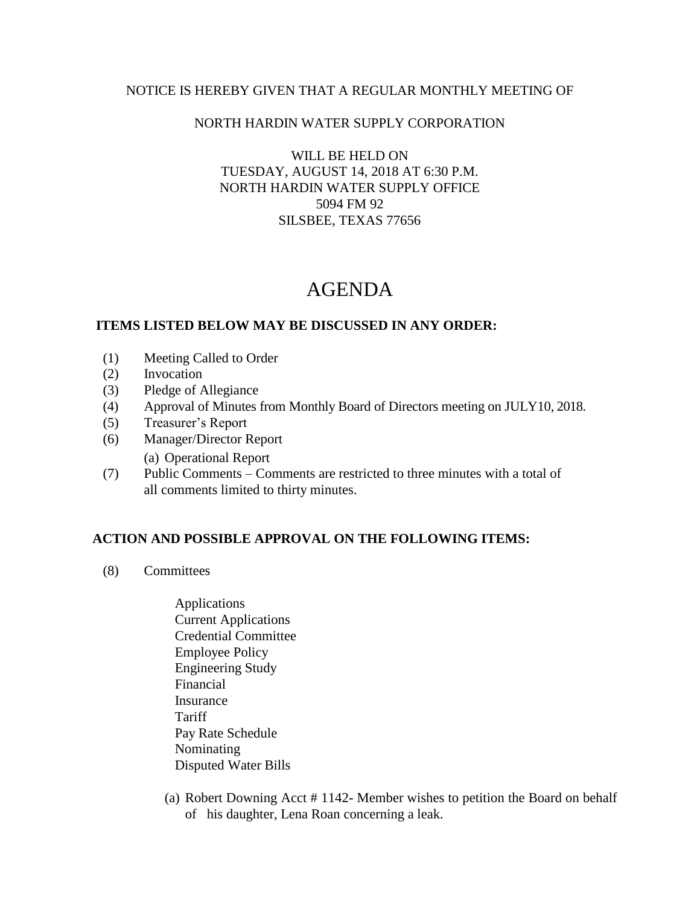## NOTICE IS HEREBY GIVEN THAT A REGULAR MONTHLY MEETING OF

## NORTH HARDIN WATER SUPPLY CORPORATION

WILL BE HELD ON TUESDAY, AUGUST 14, 2018 AT 6:30 P.M. NORTH HARDIN WATER SUPPLY OFFICE 5094 FM 92 SILSBEE, TEXAS 77656

# AGENDA

## **ITEMS LISTED BELOW MAY BE DISCUSSED IN ANY ORDER:**

- (1) Meeting Called to Order
- (2) Invocation
- (3) Pledge of Allegiance
- (4) Approval of Minutes from Monthly Board of Directors meeting on JULY10, 2018.
- (5) Treasurer's Report
- (6) Manager/Director Report
	- (a) Operational Report
- (7) Public Comments Comments are restricted to three minutes with a total of all comments limited to thirty minutes.

## **ACTION AND POSSIBLE APPROVAL ON THE FOLLOWING ITEMS:**

- (8) Committees
	- Applications Current Applications Credential Committee Employee Policy Engineering Study Financial Insurance **Tariff**  Pay Rate Schedule Nominating Disputed Water Bills
	- (a) Robert Downing Acct # 1142- Member wishes to petition the Board on behalf of his daughter, Lena Roan concerning a leak.